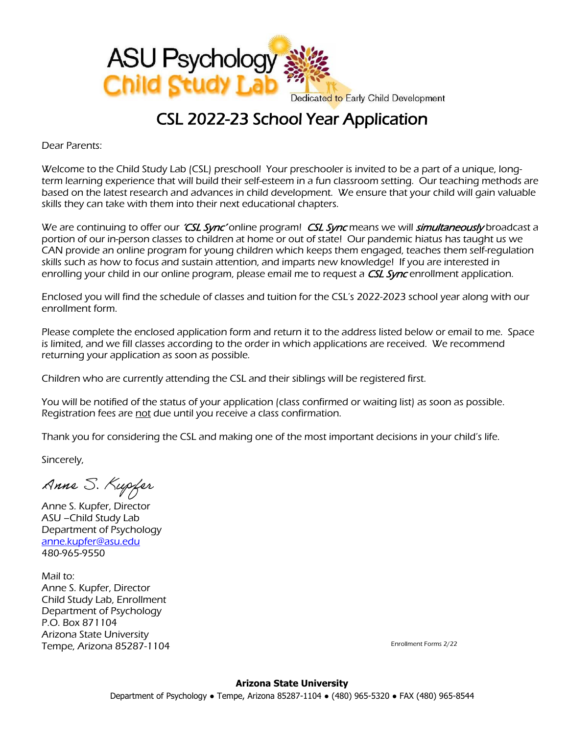

## CSL 2022-23 School Year Application

Dear Parents:

Welcome to the Child Study Lab (CSL) preschool! Your preschooler is invited to be a part of a unique, longterm learning experience that will build their self-esteem in a fun classroom setting. Our teaching methods are based on the latest research and advances in child development. We ensure that your child will gain valuable skills they can take with them into their next educational chapters.

We are continuing to offer our *'CSL Sync'* online program! CSL Sync means we will *simultaneously* broadcast a portion of our in-person classes to children at home or out of state! Our pandemic hiatus has taught us we CAN provide an online program for young children which keeps them engaged, teaches them self-regulation skills such as how to focus and sustain attention, and imparts new knowledge! If you are interested in enrolling your child in our online program, please email me to request a CSL Sync enrollment application.

Enclosed you will find the schedule of classes and tuition for the CSL's 2022-2023 school year along with our enrollment form.

Please complete the enclosed application form and return it to the address listed below or email to me. Space is limited, and we fill classes according to the order in which applications are received. We recommend returning your application as soon as possible.

Children who are currently attending the CSL and their siblings will be registered first.

You will be notified of the status of your application (class confirmed or waiting list) as soon as possible. Registration fees are not due until you receive a class confirmation.

Thank you for considering the CSL and making one of the most important decisions in your child's life.

Sincerely,

Anne S. Kupfer

Anne S. Kupfer, Director ASU –Child Study Lab Department of Psychology [anne.kupfer@asu.edu](mailto:anne.kupfer@asu.edu) 480-965-9550

Mail to: Anne S. Kupfer, Director Child Study Lab, Enrollment Department of Psychology P.O. Box 871104 Arizona State University Tempe, Arizona 85287-1104

Enrollment Forms 2/22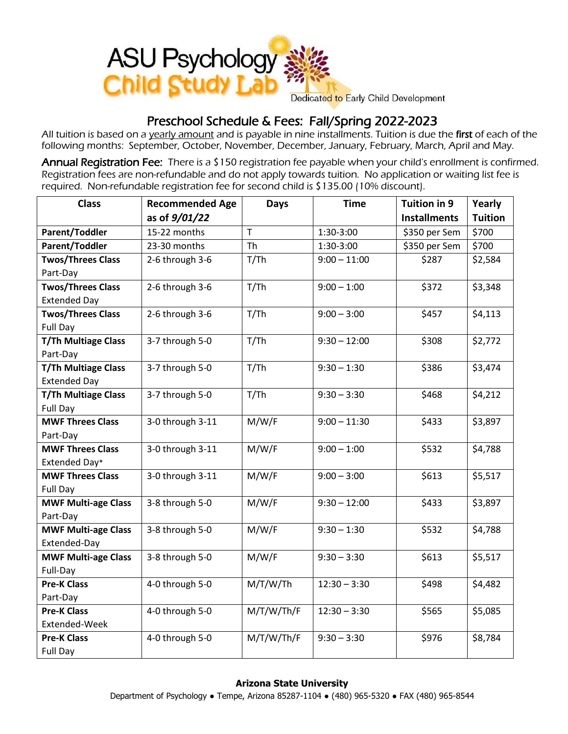

## Preschool Schedule & Fees: Fall/Spring 2022-2023

All tuition is based on a yearly amount and is payable in nine installments. Tuition is due the first of each of the following months: September, October, November, December, January, February, March, April and May.

Annual Registration Fee: There is a \$150 registration fee payable when your child's enrollment is confirmed. Registration fees are non-refundable and do not apply towards tuition. No application or waiting list fee is required. Non-refundable registration fee for second child is \$135.00 (10% discount).

| <b>Class</b>               | <b>Recommended Age</b> | <b>Days</b> | <b>Time</b>    | Tuition in 9        | Yearly         |
|----------------------------|------------------------|-------------|----------------|---------------------|----------------|
|                            | as of 9/01/22          |             |                | <b>Installments</b> | <b>Tuition</b> |
| Parent/Toddler             | 15-22 months           | T           | 1:30-3:00      | \$350 per Sem       | \$700          |
| <b>Parent/Toddler</b>      | 23-30 months           | Th          | 1:30-3:00      | \$350 per Sem       | \$700          |
| <b>Twos/Threes Class</b>   | 2-6 through 3-6        | T/Th        | $9:00 - 11:00$ | \$287               | \$2,584        |
| Part-Day                   |                        |             |                |                     |                |
| <b>Twos/Threes Class</b>   | 2-6 through 3-6        | T/Th        | $9:00 - 1:00$  | 5372                | \$3,348        |
| <b>Extended Day</b>        |                        |             |                |                     |                |
| <b>Twos/Threes Class</b>   | 2-6 through 3-6        | T/Th        | $9:00 - 3:00$  | \$457               | \$4,113        |
| Full Day                   |                        |             |                |                     |                |
| <b>T/Th Multiage Class</b> | 3-7 through 5-0        | T/Th        | $9:30 - 12:00$ | \$308               | \$2,772        |
| Part-Day                   |                        |             |                |                     |                |
| <b>T/Th Multiage Class</b> | 3-7 through 5-0        | T/Th        | $9:30 - 1:30$  | \$386               | \$3,474        |
| <b>Extended Day</b>        |                        |             |                |                     |                |
| <b>T/Th Multiage Class</b> | 3-7 through 5-0        | T/Th        | $9:30 - 3:30$  | \$468               | \$4,212        |
| Full Day                   |                        |             |                |                     |                |
| <b>MWF Threes Class</b>    | 3-0 through 3-11       | M/W/F       | $9:00 - 11:30$ | \$433               | \$3,897        |
| Part-Day                   |                        |             |                |                     |                |
| <b>MWF Threes Class</b>    | 3-0 through 3-11       | M/W/F       | $9:00 - 1:00$  | \$532               | \$4,788        |
| Extended Day*              |                        |             |                |                     |                |
| <b>MWF Threes Class</b>    | 3-0 through 3-11       | M/W/F       | $9:00 - 3:00$  | \$613               | \$5,517        |
| Full Day                   |                        |             |                |                     |                |
| <b>MWF Multi-age Class</b> | 3-8 through 5-0        | M/W/F       | $9:30 - 12:00$ | \$433               | \$3,897        |
| Part-Day                   |                        |             |                |                     |                |
| <b>MWF Multi-age Class</b> | 3-8 through 5-0        | M/W/F       | $9:30 - 1:30$  | \$532               | \$4,788        |
| Extended-Day               |                        |             |                |                     |                |
| <b>MWF Multi-age Class</b> | 3-8 through 5-0        | M/W/F       | $9:30 - 3:30$  | \$613               | \$5,517        |
| Full-Day                   |                        |             |                |                     |                |
| <b>Pre-K Class</b>         | 4-0 through 5-0        | M/T/W/Th    | $12:30 - 3:30$ | \$498               | \$4,482        |
| Part-Day                   |                        |             |                |                     |                |
| <b>Pre-K Class</b>         | 4-0 through 5-0        | M/T/W/Th/F  | $12:30 - 3:30$ | \$565               | \$5,085        |
| Extended-Week              |                        |             |                |                     |                |
| <b>Pre-K Class</b>         | 4-0 through 5-0        | M/T/W/Th/F  | $9:30 - 3:30$  | \$976               | \$8,784        |
| Full Day                   |                        |             |                |                     |                |